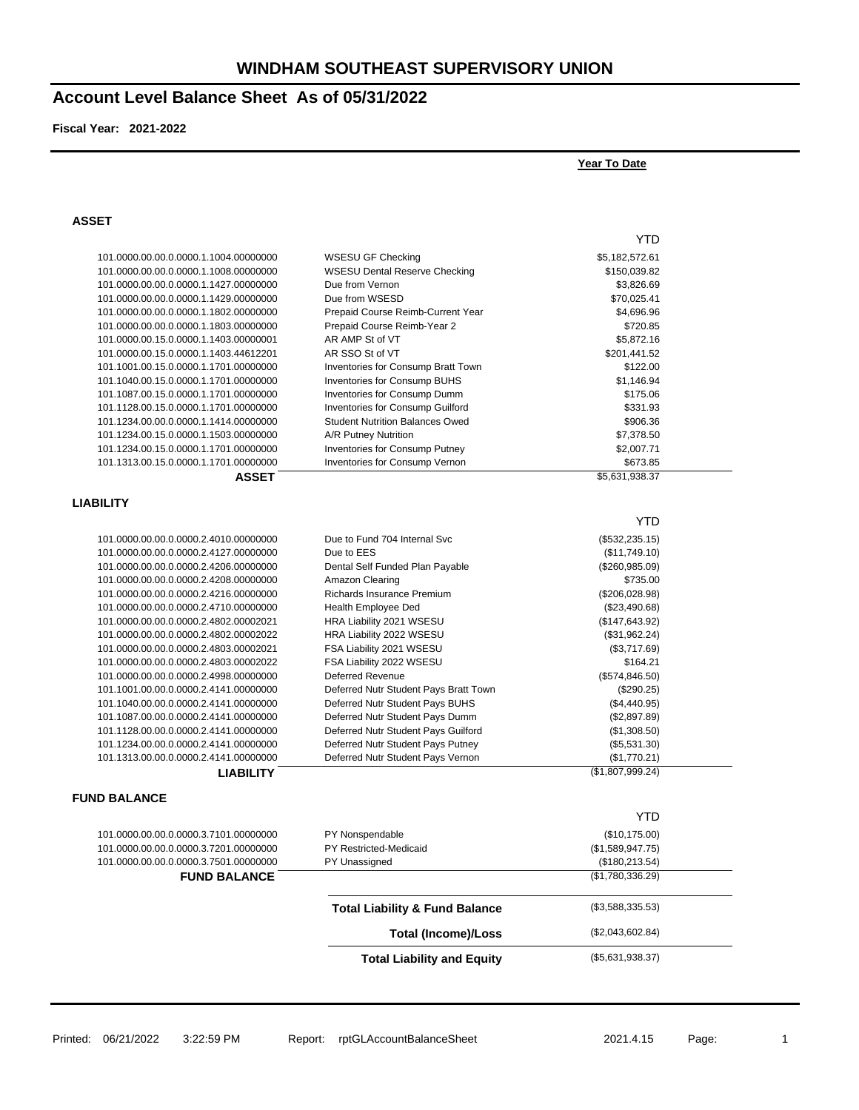## **Account Level Balance Sheet As of 05/31/2022**

**Fiscal Year: 2021-2022**

### **Year To Date**

#### **ASSET**

|                                                                                | <b>Total Liability and Equity</b>         | (\$5,631,938.37)                  |  |
|--------------------------------------------------------------------------------|-------------------------------------------|-----------------------------------|--|
|                                                                                | <b>Total (Income)/Loss</b>                | (\$2,043,602.84)                  |  |
|                                                                                | <b>Total Liability &amp; Fund Balance</b> | (\$3,588,335.53)                  |  |
|                                                                                |                                           |                                   |  |
| <b>FUND BALANCE</b>                                                            |                                           | (\$1,780,336.29)                  |  |
| 101.0000.00.00.0.0000.3.7501.00000000                                          | PY Unassigned                             | (\$180, 213.54)                   |  |
| 101.0000.00.00.0.0000.3.7101.00000000<br>101.0000.00.00.0.0000.3.7201.00000000 | PY Nonspendable<br>PY Restricted-Medicaid | (\$10,175.00)<br>(\$1,589,947.75) |  |
|                                                                                |                                           | <b>YTD</b>                        |  |
| <b>FUND BALANCE</b>                                                            |                                           |                                   |  |
| <b>LIABILITY</b>                                                               |                                           | (\$1,807,999.24)                  |  |
| 101.1313.00.00.0.0000.2.4141.00000000                                          | Deferred Nutr Student Pays Vernon         | (\$1,770.21)                      |  |
| 101.1234.00.00.0.0000.2.4141.00000000                                          | Deferred Nutr Student Pays Putney         | (\$5,531.30)                      |  |
| 101.1128.00.00.0.0000.2.4141.00000000                                          | Deferred Nutr Student Pays Guilford       | (\$1,308.50)                      |  |
| 101.1087.00.00.0.0000.2.4141.00000000                                          | Deferred Nutr Student Pays Dumm           | (\$2,897.89)                      |  |
| 101.1040.00.00.0.0000.2.4141.00000000                                          | Deferred Nutr Student Pays BUHS           | (\$4,440.95)                      |  |
| 101.1001.00.00.0.0000.2.4141.00000000                                          | Deferred Nutr Student Pays Bratt Town     | (\$290.25)                        |  |
| 101.0000.00.00.0.0000.2.4998.00000000                                          | <b>Deferred Revenue</b>                   | (\$574, 846.50)                   |  |
| 101.0000.00.00.0.0000.2.4803.00002022                                          | FSA Liability 2022 WSESU                  | \$164.21                          |  |
| 101.0000.00.00.0.0000.2.4803.00002021                                          | FSA Liability 2021 WSESU                  | (\$3,717.69)                      |  |
| 101.0000.00.00.0.0000.2.4802.00002022                                          | HRA Liability 2022 WSESU                  | (\$31,962.24)                     |  |
| 101.0000.00.00.0.0000.2.4802.00002021                                          | HRA Liability 2021 WSESU                  | (\$147,643.92)                    |  |
| 101.0000.00.00.0.0000.2.4710.00000000                                          | Health Employee Ded                       | (\$23,490.68)                     |  |
| 101.0000.00.00.0.0000.2.4216.00000000                                          | Richards Insurance Premium                | (\$206,028.98)                    |  |
| 101.0000.00.00.0.0000.2.4208.00000000                                          | Amazon Clearing                           | \$735.00                          |  |
| 101.0000.00.00.0.0000.2.4206.00000000                                          | Dental Self Funded Plan Payable           | (\$260,985.09)                    |  |
| 101.0000.00.00.0.0000.2.4127.00000000                                          | Due to EES                                | (\$11,749.10)                     |  |
| 101.0000.00.00.0.0000.2.4010.00000000                                          | Due to Fund 704 Internal Svc              | (\$532, 235.15)                   |  |
|                                                                                |                                           | <b>YTD</b>                        |  |
| <b>LIABILITY</b>                                                               |                                           |                                   |  |
| <b>ASSET</b>                                                                   |                                           | \$5,631,938.37                    |  |
| 101.1313.00.15.0.0000.1.1701.00000000                                          | Inventories for Consump Vernon            | \$673.85                          |  |
| 101.1234.00.15.0.0000.1.1701.00000000                                          | Inventories for Consump Putney            | \$2,007.71                        |  |
| 101.1234.00.15.0.0000.1.1503.00000000                                          | A/R Putney Nutrition                      | \$7,378.50                        |  |
| 101.1234.00.00.0.0000.1.1414.00000000                                          | <b>Student Nutrition Balances Owed</b>    | \$906.36                          |  |
| 101.1128.00.15.0.0000.1.1701.00000000                                          | Inventories for Consump Guilford          | \$331.93                          |  |
| 101.1087.00.15.0.0000.1.1701.00000000                                          | Inventories for Consump Dumm              | \$175.06                          |  |
| 101.1040.00.15.0.0000.1.1701.00000000                                          | Inventories for Consump BUHS              | \$1,146.94                        |  |
| 101.1001.00.15.0.0000.1.1701.00000000                                          | Inventories for Consump Bratt Town        | \$122.00                          |  |
| 101.0000.00.15.0.0000.1.1403.44612201                                          | AR SSO St of VT                           | \$201,441.52                      |  |
| 101.0000.00.15.0.0000.1.1403.00000001                                          | AR AMP St of VT                           | \$5,872.16                        |  |
| 101.0000.00.00.0.0000.1.1803.00000000                                          | Prepaid Course Reimb-Year 2               | \$720.85                          |  |
| 101.0000.00.00.0.0000.1.1802.00000000                                          | Prepaid Course Reimb-Current Year         | \$4,696.96                        |  |
| 101.0000.00.00.0.0000.1.1429.00000000                                          | Due from WSESD                            | \$70,025.41                       |  |
| 101.0000.00.00.0.0000.1.1427.00000000                                          | Due from Vernon                           | \$3,826.69                        |  |
| 101.0000.00.00.0.0000.1.1008.00000000                                          | <b>WSESU Dental Reserve Checking</b>      | \$150,039.82                      |  |
| 101.0000.00.00.0.0000.1.1004.00000000                                          | <b>WSESU GF Checking</b>                  | \$5,182,572.61                    |  |
|                                                                                |                                           | YTD                               |  |